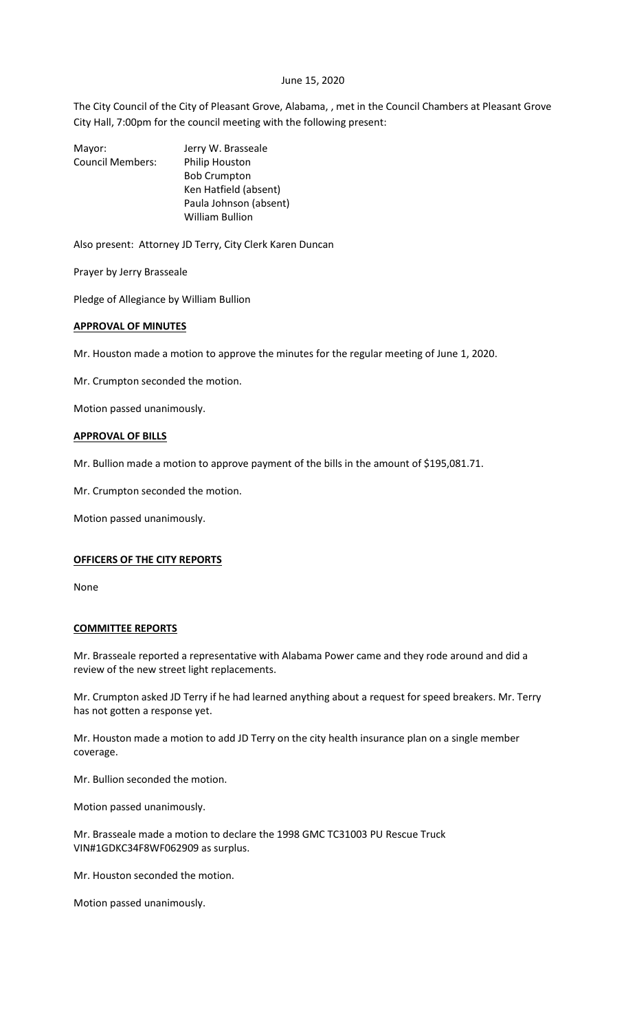## June 15, 2020

The City Council of the City of Pleasant Grove, Alabama, , met in the Council Chambers at Pleasant Grove City Hall, 7:00pm for the council meeting with the following present:

Mayor: Jerry W. Brasseale Council Members: Philip Houston Bob Crumpton Ken Hatfield (absent) Paula Johnson (absent) William Bullion

Also present: Attorney JD Terry, City Clerk Karen Duncan

Prayer by Jerry Brasseale

Pledge of Allegiance by William Bullion

## **APPROVAL OF MINUTES**

Mr. Houston made a motion to approve the minutes for the regular meeting of June 1, 2020.

Mr. Crumpton seconded the motion.

Motion passed unanimously.

## **APPROVAL OF BILLS**

Mr. Bullion made a motion to approve payment of the bills in the amount of \$195,081.71.

Mr. Crumpton seconded the motion.

Motion passed unanimously.

#### **OFFICERS OF THE CITY REPORTS**

None

#### **COMMITTEE REPORTS**

Mr. Brasseale reported a representative with Alabama Power came and they rode around and did a review of the new street light replacements.

Mr. Crumpton asked JD Terry if he had learned anything about a request for speed breakers. Mr. Terry has not gotten a response yet.

Mr. Houston made a motion to add JD Terry on the city health insurance plan on a single member coverage.

Mr. Bullion seconded the motion.

Motion passed unanimously.

Mr. Brasseale made a motion to declare the 1998 GMC TC31003 PU Rescue Truck VIN#1GDKC34F8WF062909 as surplus.

Mr. Houston seconded the motion.

Motion passed unanimously.